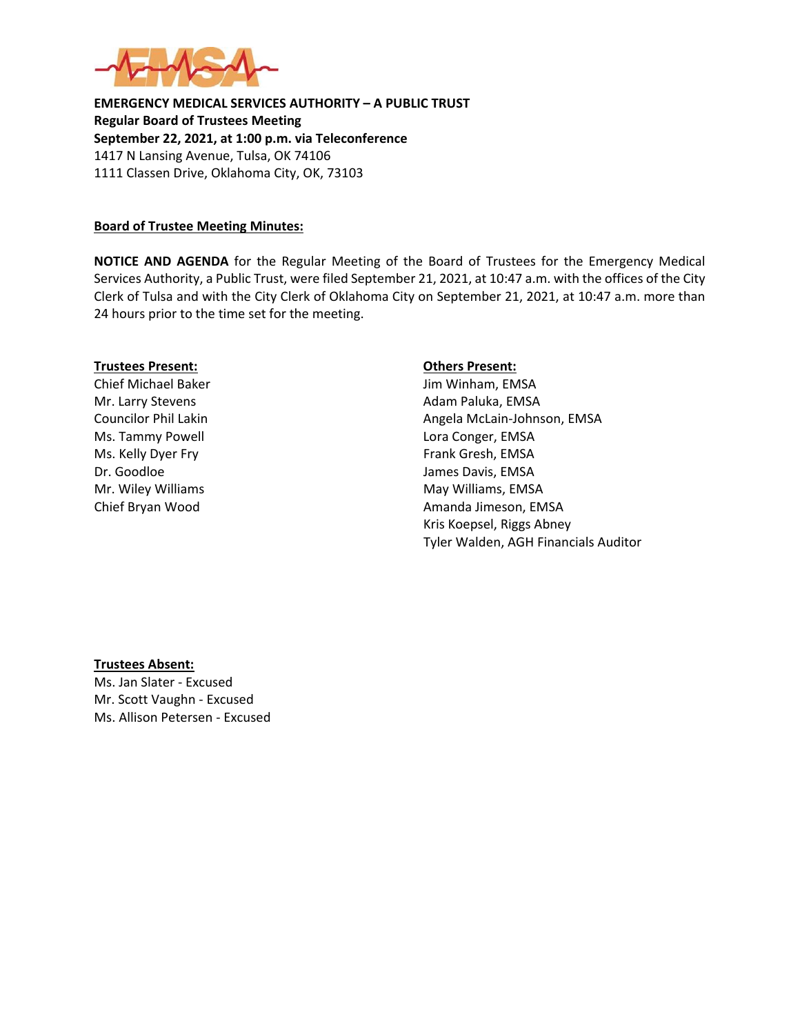

**EMERGENCY MEDICAL SERVICES AUTHORITY – A PUBLIC TRUST Regular Board of Trustees Meeting September 22, 2021, at 1:00 p.m. via Teleconference** 1417 N Lansing Avenue, Tulsa, OK 74106 1111 Classen Drive, Oklahoma City, OK, 73103

### **Board of Trustee Meeting Minutes:**

**NOTICE AND AGENDA** for the Regular Meeting of the Board of Trustees for the Emergency Medical Services Authority, a Public Trust, were filed September 21, 2021, at 10:47 a.m. with the offices of the City Clerk of Tulsa and with the City Clerk of Oklahoma City on September 21, 2021, at 10:47 a.m. more than 24 hours prior to the time set for the meeting.

#### **Trustees Present: Others Present:**

Ms. Tammy Powell **Lora Conger**, EMSA Ms. Kelly Dyer Fry Frank Gresh, EMSA Dr. Goodloe James Davis, EMSA

Chief Michael Baker **Jim Winham, EMSA** Mr. Larry Stevens **Adam Paluka**, EMSA Councilor Phil Lakin Angela McLain-Johnson, EMSA Mr. Wiley Williams May Williams, EMSA Chief Bryan Wood **Amanda Jimeson, EMSA** Kris Koepsel, Riggs Abney Tyler Walden, AGH Financials Auditor

# **Trustees Absent:**

Ms. Jan Slater - Excused Mr. Scott Vaughn - Excused Ms. Allison Petersen - Excused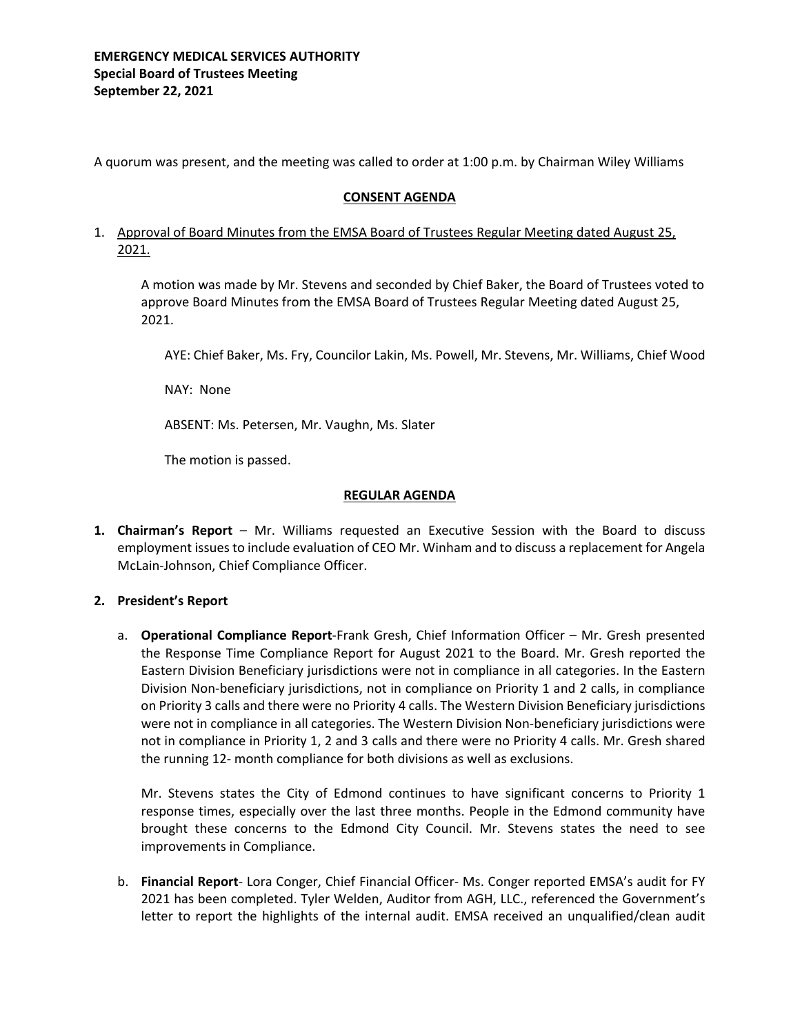A quorum was present, and the meeting was called to order at 1:00 p.m. by Chairman Wiley Williams

# **CONSENT AGENDA**

# 1. Approval of Board Minutes from the EMSA Board of Trustees Regular Meeting dated August 25, 2021.

A motion was made by Mr. Stevens and seconded by Chief Baker, the Board of Trustees voted to approve Board Minutes from the EMSA Board of Trustees Regular Meeting dated August 25, 2021.

AYE: Chief Baker, Ms. Fry, Councilor Lakin, Ms. Powell, Mr. Stevens, Mr. Williams, Chief Wood

NAY: None

ABSENT: Ms. Petersen, Mr. Vaughn, Ms. Slater

The motion is passed.

# **REGULAR AGENDA**

**1. Chairman's Report** – Mr. Williams requested an Executive Session with the Board to discuss employment issues to include evaluation of CEO Mr. Winham and to discuss a replacement for Angela McLain-Johnson, Chief Compliance Officer.

# **2. President's Report**

a. **Operational Compliance Report**-Frank Gresh, Chief Information Officer – Mr. Gresh presented the Response Time Compliance Report for August 2021 to the Board. Mr. Gresh reported the Eastern Division Beneficiary jurisdictions were not in compliance in all categories. In the Eastern Division Non-beneficiary jurisdictions, not in compliance on Priority 1 and 2 calls, in compliance on Priority 3 calls and there were no Priority 4 calls. The Western Division Beneficiary jurisdictions were not in compliance in all categories. The Western Division Non-beneficiary jurisdictions were not in compliance in Priority 1, 2 and 3 calls and there were no Priority 4 calls. Mr. Gresh shared the running 12- month compliance for both divisions as well as exclusions.

Mr. Stevens states the City of Edmond continues to have significant concerns to Priority 1 response times, especially over the last three months. People in the Edmond community have brought these concerns to the Edmond City Council. Mr. Stevens states the need to see improvements in Compliance.

b. **Financial Report**- Lora Conger, Chief Financial Officer- Ms. Conger reported EMSA's audit for FY 2021 has been completed. Tyler Welden, Auditor from AGH, LLC., referenced the Government's letter to report the highlights of the internal audit. EMSA received an unqualified/clean audit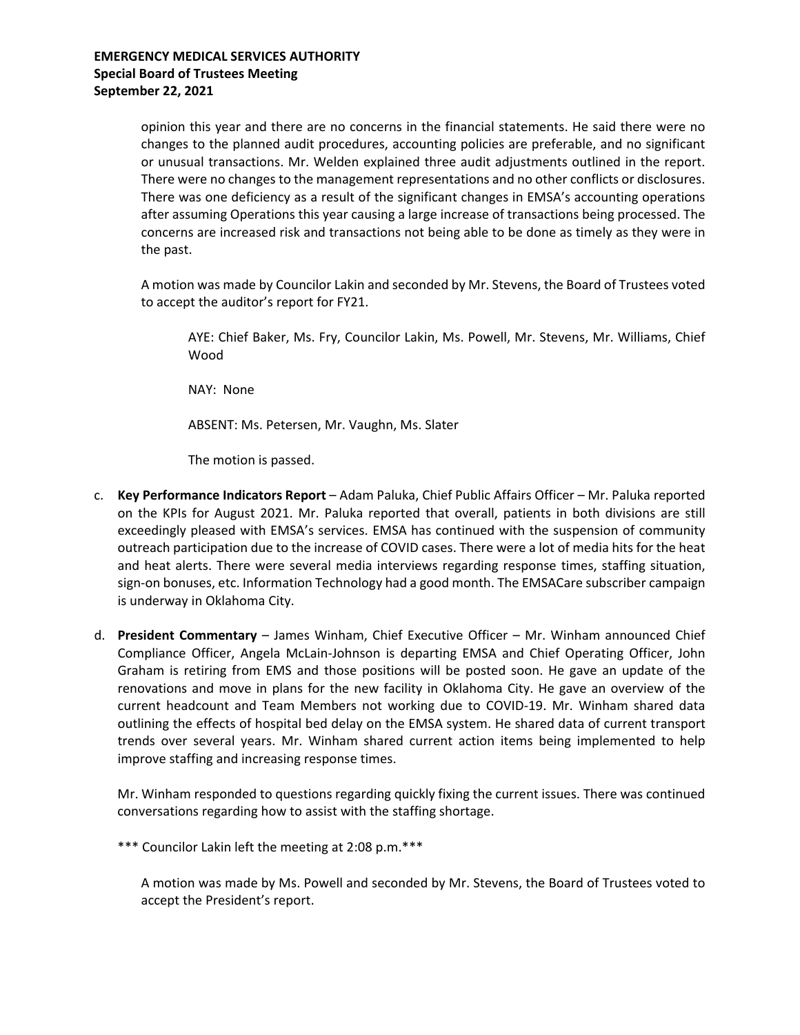opinion this year and there are no concerns in the financial statements. He said there were no changes to the planned audit procedures, accounting policies are preferable, and no significant or unusual transactions. Mr. Welden explained three audit adjustments outlined in the report. There were no changes to the management representations and no other conflicts or disclosures. There was one deficiency as a result of the significant changes in EMSA's accounting operations after assuming Operations this year causing a large increase of transactions being processed. The concerns are increased risk and transactions not being able to be done as timely as they were in the past.

A motion was made by Councilor Lakin and seconded by Mr. Stevens, the Board of Trustees voted to accept the auditor's report for FY21.

AYE: Chief Baker, Ms. Fry, Councilor Lakin, Ms. Powell, Mr. Stevens, Mr. Williams, Chief Wood

NAY: None

ABSENT: Ms. Petersen, Mr. Vaughn, Ms. Slater

The motion is passed.

- c. **Key Performance Indicators Report** Adam Paluka, Chief Public Affairs Officer Mr. Paluka reported on the KPIs for August 2021. Mr. Paluka reported that overall, patients in both divisions are still exceedingly pleased with EMSA's services. EMSA has continued with the suspension of community outreach participation due to the increase of COVID cases. There were a lot of media hits for the heat and heat alerts. There were several media interviews regarding response times, staffing situation, sign-on bonuses, etc. Information Technology had a good month. The EMSACare subscriber campaign is underway in Oklahoma City.
- d. **President Commentary** James Winham, Chief Executive Officer Mr. Winham announced Chief Compliance Officer, Angela McLain-Johnson is departing EMSA and Chief Operating Officer, John Graham is retiring from EMS and those positions will be posted soon. He gave an update of the renovations and move in plans for the new facility in Oklahoma City. He gave an overview of the current headcount and Team Members not working due to COVID-19. Mr. Winham shared data outlining the effects of hospital bed delay on the EMSA system. He shared data of current transport trends over several years. Mr. Winham shared current action items being implemented to help improve staffing and increasing response times.

Mr. Winham responded to questions regarding quickly fixing the current issues. There was continued conversations regarding how to assist with the staffing shortage.

\*\*\* Councilor Lakin left the meeting at 2:08 p.m.\*\*\*

A motion was made by Ms. Powell and seconded by Mr. Stevens, the Board of Trustees voted to accept the President's report.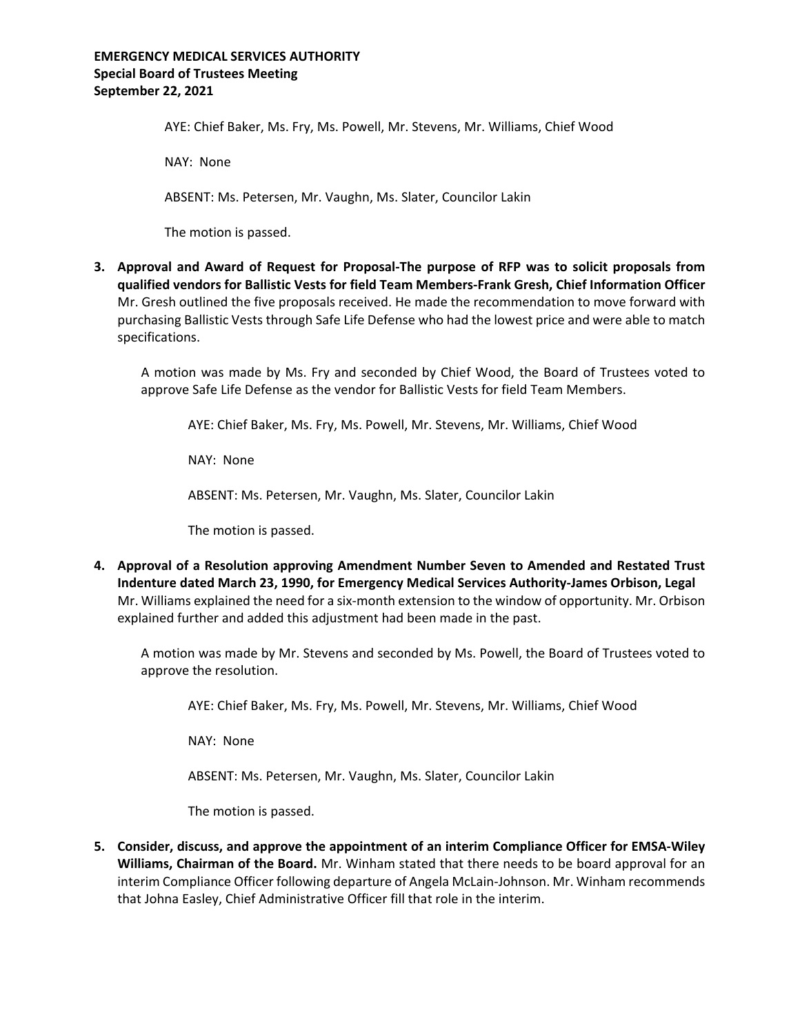# **EMERGENCY MEDICAL SERVICES AUTHORITY Special Board of Trustees Meeting September 22, 2021**

AYE: Chief Baker, Ms. Fry, Ms. Powell, Mr. Stevens, Mr. Williams, Chief Wood

NAY: None

ABSENT: Ms. Petersen, Mr. Vaughn, Ms. Slater, Councilor Lakin

The motion is passed.

**3. Approval and Award of Request for Proposal-The purpose of RFP was to solicit proposals from qualified vendors for Ballistic Vests for field Team Members-Frank Gresh, Chief Information Officer** Mr. Gresh outlined the five proposals received. He made the recommendation to move forward with purchasing Ballistic Vests through Safe Life Defense who had the lowest price and were able to match specifications.

A motion was made by Ms. Fry and seconded by Chief Wood, the Board of Trustees voted to approve Safe Life Defense as the vendor for Ballistic Vests for field Team Members.

AYE: Chief Baker, Ms. Fry, Ms. Powell, Mr. Stevens, Mr. Williams, Chief Wood

NAY: None

ABSENT: Ms. Petersen, Mr. Vaughn, Ms. Slater, Councilor Lakin

The motion is passed.

**4. Approval of a Resolution approving Amendment Number Seven to Amended and Restated Trust Indenture dated March 23, 1990, for Emergency Medical Services Authority-James Orbison, Legal** Mr. Williams explained the need for a six-month extension to the window of opportunity. Mr. Orbison explained further and added this adjustment had been made in the past.

A motion was made by Mr. Stevens and seconded by Ms. Powell, the Board of Trustees voted to approve the resolution.

AYE: Chief Baker, Ms. Fry, Ms. Powell, Mr. Stevens, Mr. Williams, Chief Wood

NAY: None

ABSENT: Ms. Petersen, Mr. Vaughn, Ms. Slater, Councilor Lakin

The motion is passed.

**5. Consider, discuss, and approve the appointment of an interim Compliance Officer for EMSA-Wiley Williams, Chairman of the Board.** Mr. Winham stated that there needs to be board approval for an interim Compliance Officer following departure of Angela McLain-Johnson. Mr. Winham recommends that Johna Easley, Chief Administrative Officer fill that role in the interim.